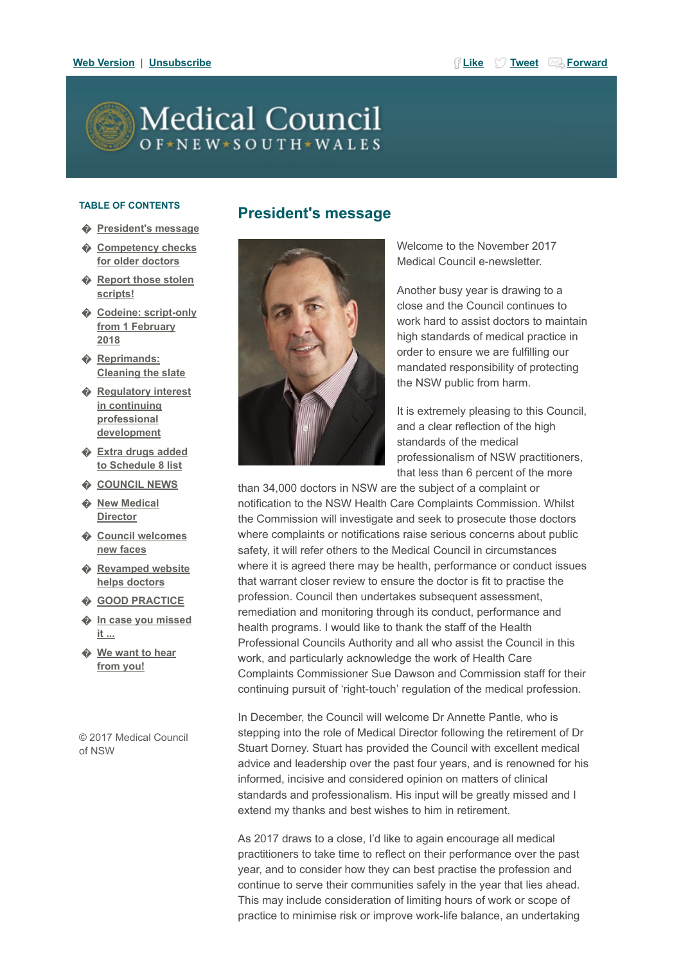[Web Version](http://medicalcouncil.createsend1.com/t/j-e-odjhrtl-l-r/) | [Unsubscribe](http://medicalcouncil.createsend1.com/t/j-u-odjhrtl-l-y/) [Like](http://medicalcouncil.createsend1.com/t/j-fb-odjhrtl-l-t/?act=wv) North Control of the Like Norward Guide [Tweet](http://medicalcouncil.createsend1.com/t/j-tw-odjhrtl-l-d/) African Service In the United Services

# **Medical Council**  $O F \star N E W \star S O U T H \star W A L E S$

#### TABLE OF CONTENTS

- � [President's message](#page-0-0)
- **♦ [Competency checks](#page-1-0)** for older doctors
- **♦ [Report those stolen](#page-1-1)** scripts!
- **♦ [Codeine: script-only](#page-2-0)** from 1 February 2018
- � Reprimands: [Cleaning the slate](#page-3-0)
- ♦ Requlatory interest in continuing professional development
- � [Extra drugs added](#page-4-1) to Schedule 8 list
- ♦ [COUNCIL NEWS](#page-5-0)
- $\triangle$  [New Medical](#page-5-1) **Director**
- � [Council welcomes](#page-6-0) new faces
- **♦ [Revamped website](#page-6-1)** helps doctors
- � [GOOD PRACTICE](#page-7-0)
- � [In case you missed](#page-7-1) it ...
- ♦ [We want to hear](#page-7-2) from you!

© 2017 Medical Council of NSW



<span id="page-0-0"></span>President's message

Welcome to the November 2017 Medical Council e-newsletter.

Another busy year is drawing to a close and the Council continues to work hard to assist doctors to maintain high standards of medical practice in order to ensure we are fulfilling our mandated responsibility of protecting the NSW public from harm.

It is extremely pleasing to this Council, and a clear reflection of the high standards of the medical professionalism of NSW practitioners, that less than 6 percent of the more

than 34,000 doctors in NSW are the subject of a complaint or notification to the NSW Health Care Complaints Commission. Whilst the Commission will investigate and seek to prosecute those doctors where complaints or notifications raise serious concerns about public safety, it will refer others to the Medical Council in circumstances where it is agreed there may be health, performance or conduct issues that warrant closer review to ensure the doctor is fit to practise the profession. Council then undertakes subsequent assessment, remediation and monitoring through its conduct, performance and health programs. I would like to thank the staff of the Health Professional Councils Authority and all who assist the Council in this work, and particularly acknowledge the work of Health Care Complaints Commissioner Sue Dawson and Commission staff for their continuing pursuit of 'right-touch' regulation of the medical profession.

In December, the Council will welcome Dr Annette Pantle, who is stepping into the role of Medical Director following the retirement of Dr Stuart Dorney. Stuart has provided the Council with excellent medical advice and leadership over the past four years, and is renowned for his informed, incisive and considered opinion on matters of clinical standards and professionalism. His input will be greatly missed and I extend my thanks and best wishes to him in retirement.

As 2017 draws to a close, I'd like to again encourage all medical practitioners to take time to reflect on their performance over the past year, and to consider how they can best practise the profession and continue to serve their communities safely in the year that lies ahead. This may include consideration of limiting hours of work or scope of practice to minimise risk or improve work-life balance, an undertaking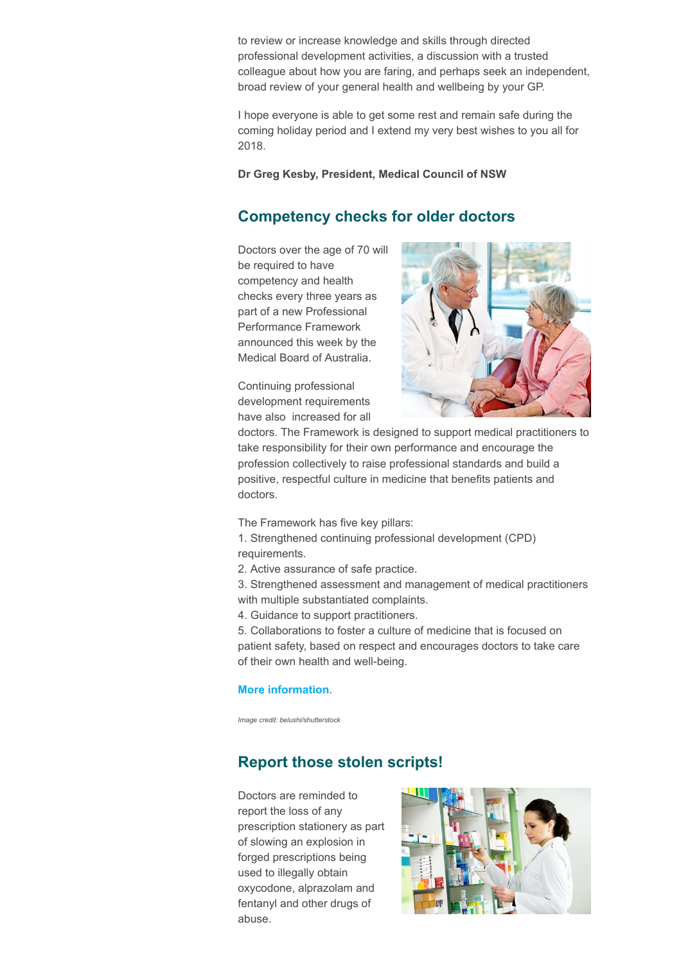to review or increase knowledge and skills through directed professional development activities, a discussion with a trusted colleague about how you are faring, and perhaps seek an independent, broad review of your general health and wellbeing by your GP.

I hope everyone is able to get some rest and remain safe during the coming holiday period and I extend my very best wishes to you all for 2018.

#### Dr Greg Kesby, President, Medical Council of NSW

# <span id="page-1-0"></span>Competency checks for older doctors

Doctors over the age of 70 will be required to have competency and health checks every three years as part of a new Professional Performance Framework announced this week by the Medical Board of Australia.

Continuing professional development requirements have also increased for all



doctors. The Framework is designed to support medical practitioners to take responsibility for their own performance and encourage the profession collectively to raise professional standards and build a positive, respectful culture in medicine that benefits patients and doctors.

The Framework has five key pillars:

1. Strengthened continuing professional development (CPD) requirements.

2. Active assurance of safe practice.

3. Strengthened assessment and management of medical practitioners with multiple substantiated complaints.

4. Guidance to support practitioners.

5. Collaborations to foster a culture of medicine that is focused on patient safety, based on respect and encourages doctors to take care of their own health and well-being.

#### [More information](http://medicalcouncil.createsend1.com/t/j-l-odjhrtl-l-o/).

Image credit: belushi/shutterstock

# <span id="page-1-1"></span>Report those stolen scripts!

Doctors are reminded to report the loss of any prescription stationery as part of slowing an explosion in forged prescriptions being used to illegally obtain oxycodone, alprazolam and fentanyl and other drugs of abuse.

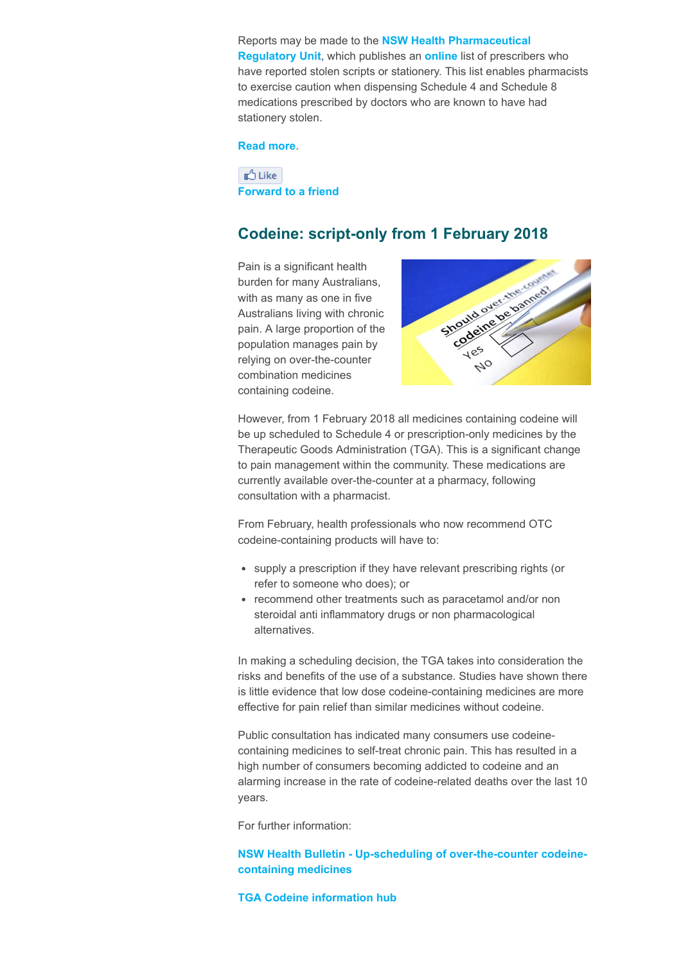Reports may be made to the **[NSW Health Pharmaceutical](http://medicalcouncil.createsend1.com/t/j-l-odjhrtl-l-b/) Regulatory Unit, which publishes an [online](http://medicalcouncil.createsend1.com/t/j-l-odjhrtl-l-n/) list of prescribers who** have reported stolen scripts or stationery. This list enables pharmacists to exercise caution when dispensing Schedule 4 and Schedule 8 medications prescribed by doctors who are known to have had stationery stolen.

#### [Read more](http://medicalcouncil.createsend1.com/t/j-l-odjhrtl-l-p/).

 $n^A$  Like [Forward to a friend](http://medicalcouncil.forwardtomyfriend.com/j-l-2AD73FFF-odjhrtl-l-yu)

### <span id="page-2-0"></span>Codeine: script-only from 1 February 2018

Pain is a significant health burden for many Australians, with as many as one in five Australians living with chronic pain. A large proportion of the population manages pain by relying on over-the-counter combination medicines containing codeine.



However, from 1 February 2018 all medicines containing codeine will be up scheduled to Schedule 4 or prescription-only medicines by the Therapeutic Goods Administration (TGA). This is a significant change to pain management within the community. These medications are currently available over-the-counter at a pharmacy, following consultation with a pharmacist.

From February, health professionals who now recommend OTC codeine-containing products will have to:

- supply a prescription if they have relevant prescribing rights (or refer to someone who does); or
- recommend other treatments such as paracetamol and/or non steroidal anti inflammatory drugs or non pharmacological alternatives.

In making a scheduling decision, the TGA takes into consideration the risks and benefits of the use of a substance. Studies have shown there is little evidence that low dose codeine-containing medicines are more effective for pain relief than similar medicines without codeine.

Public consultation has indicated many consumers use codeinecontaining medicines to self-treat chronic pain. This has resulted in a high number of consumers becoming addicted to codeine and an alarming increase in the rate of codeine-related deaths over the last 10 years.

For further information:

#### [NSW Health Bulletin - Up-scheduling of over-the-counter codeine](http://medicalcouncil.createsend1.com/t/j-l-odjhrtl-l-x/)containing medicines

#### [TGA Codeine information hub](http://medicalcouncil.createsend1.com/t/j-l-odjhrtl-l-m/)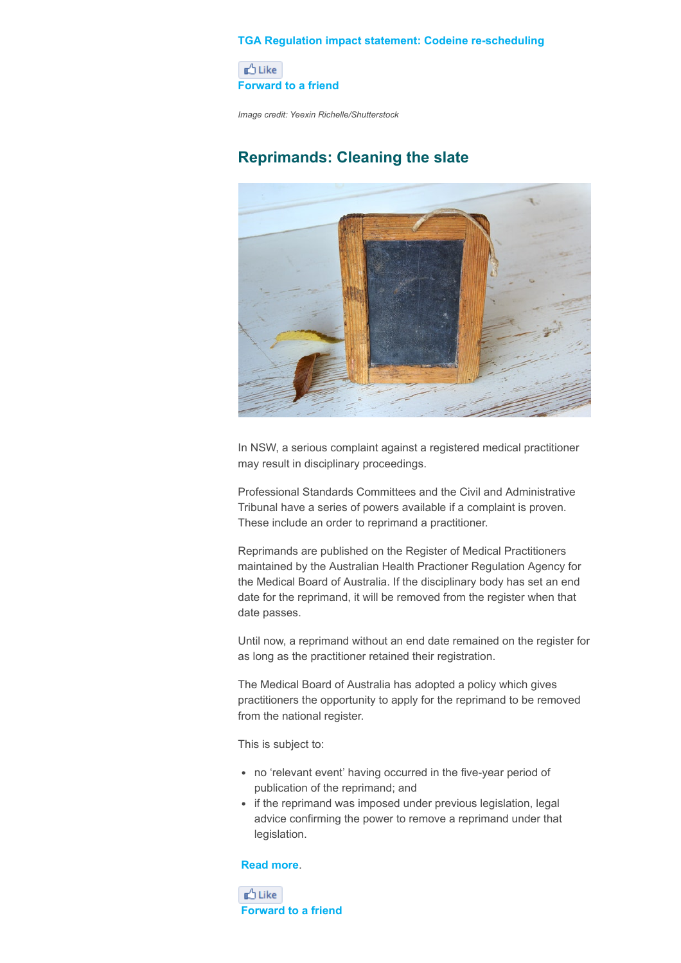#### [TGA Regulation impact statement: Codeine re-scheduling](http://medicalcouncil.createsend1.com/t/j-l-odjhrtl-l-c/)

**D** Like [Forward to a friend](http://medicalcouncil.forwardtomyfriend.com/j-l-2AD73FFF-odjhrtl-l-jr)

Image credit: Yeexin Richelle/Shutterstock

# <span id="page-3-0"></span>Reprimands: Cleaning the slate



In NSW, a serious complaint against a registered medical practitioner may result in disciplinary proceedings.

Professional Standards Committees and the Civil and Administrative Tribunal have a series of powers available if a complaint is proven. These include an order to reprimand a practitioner.

Reprimands are published on the Register of Medical Practitioners maintained by the Australian Health Practioner Regulation Agency for the Medical Board of Australia. If the disciplinary body has set an end date for the reprimand, it will be removed from the register when that date passes.

Until now, a reprimand without an end date remained on the register for as long as the practitioner retained their registration.

The Medical Board of Australia has adopted a policy which gives practitioners the opportunity to apply for the reprimand to be removed from the national register.

This is subject to:

- no 'relevant event' having occurred in the five-year period of publication of the reprimand; and
- if the reprimand was imposed under previous legislation, legal advice confirming the power to remove a reprimand under that legislation.

#### [Read more](http://medicalcouncil.createsend1.com/t/j-l-odjhrtl-l-q/).

**D** Like [Forward to a friend](http://medicalcouncil.forwardtomyfriend.com/j-l-2AD73FFF-odjhrtl-l-jj)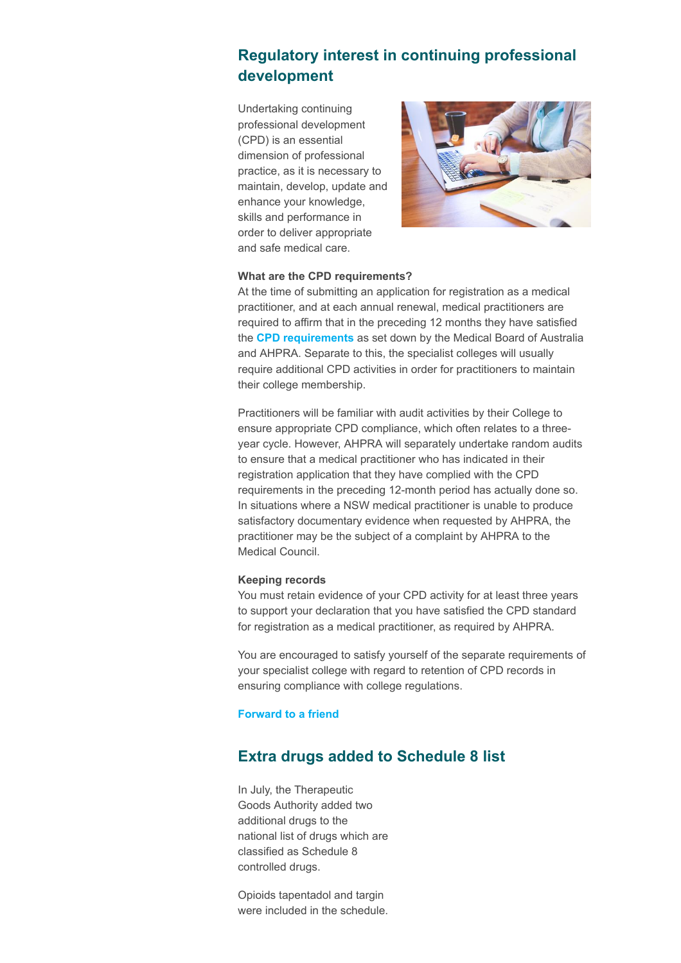# <span id="page-4-0"></span>Regulatory interest in continuing professional development

Undertaking continuing professional development (CPD) is an essential dimension of professional practice, as it is necessary to maintain, develop, update and enhance your knowledge, skills and performance in order to deliver appropriate and safe medical care.



#### What are the CPD requirements?

At the time of submitting an application for registration as a medical practitioner, and at each annual renewal, medical practitioners are required to affirm that in the preceding 12 months they have satisfied the [CPD requirements](http://medicalcouncil.createsend1.com/t/j-l-odjhrtl-l-a/) as set down by the Medical Board of Australia and AHPRA. Separate to this, the specialist colleges will usually require additional CPD activities in order for practitioners to maintain their college membership.

Practitioners will be familiar with audit activities by their College to ensure appropriate CPD compliance, which often relates to a threeyear cycle. However, AHPRA will separately undertake random audits to ensure that a medical practitioner who has indicated in their registration application that they have complied with the CPD requirements in the preceding 12-month period has actually done so. In situations where a NSW medical practitioner is unable to produce satisfactory documentary evidence when requested by AHPRA, the practitioner may be the subject of a complaint by AHPRA to the Medical Council.

#### Keeping records

You must retain evidence of your CPD activity for at least three years to support your declaration that you have satisfied the CPD standard for registration as a medical practitioner, as required by AHPRA.

You are encouraged to satisfy yourself of the separate requirements of your specialist college with regard to retention of CPD records in ensuring compliance with college regulations.

#### [Forward to a friend](http://medicalcouncil.forwardtomyfriend.com/j-l-2AD73FFF-odjhrtl-l-jt)

# <span id="page-4-1"></span>Extra drugs added to Schedule 8 list

In July, the Therapeutic Goods Authority added two additional drugs to the national list of drugs which are classified as Schedule 8 controlled drugs.

Opioids tapentadol and targin were included in the schedule.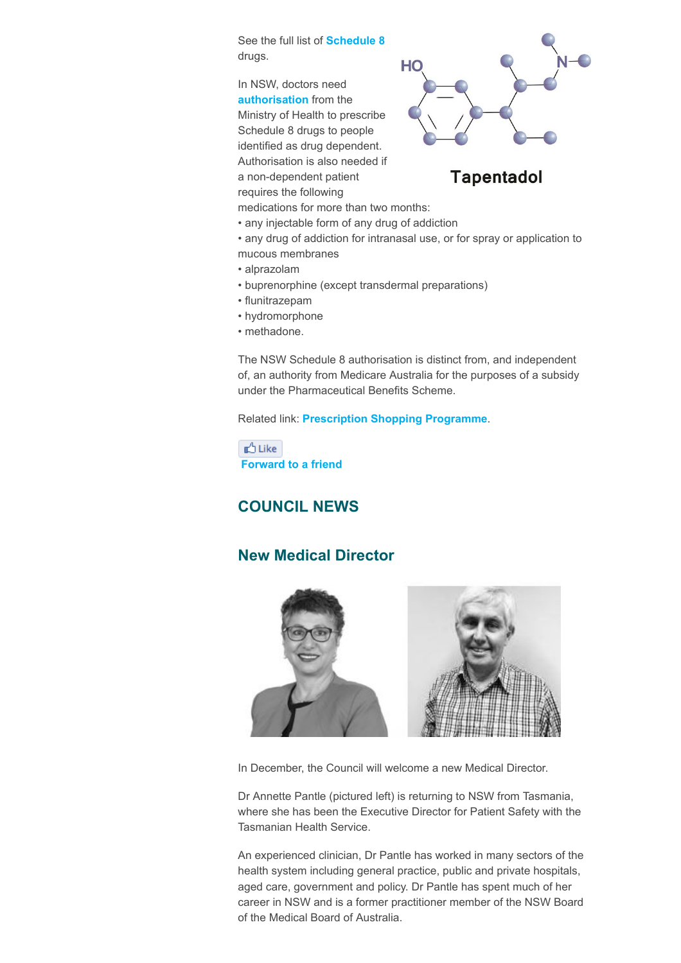See the full list of **[Schedule 8](http://medicalcouncil.createsend1.com/t/j-l-odjhrtl-l-f/)** drugs.

In NSW, doctors need [authorisation](http://medicalcouncil.createsend1.com/t/j-l-odjhrtl-l-z/) from the Ministry of Health to prescribe Schedule 8 drugs to people identified as drug dependent. Authorisation is also needed if a non-dependent patient requires the following



**Tapentadol** 

medications for more than two months:

- any injectable form of any drug of addiction
- any drug of addiction for intranasal use, or for spray or application to mucous membranes
- alprazolam
- buprenorphine (except transdermal preparations)
- flunitrazepam
- hydromorphone
- methadone.

The NSW Schedule 8 authorisation is distinct from, and independent of, an authority from Medicare Australia for the purposes of a subsidy under the Pharmaceutical Benefits Scheme.

Related link: [Prescription Shopping Programme](http://medicalcouncil.createsend1.com/t/j-l-odjhrtl-l-v/).

**D** Like [Forward to a friend](http://medicalcouncil.forwardtomyfriend.com/j-l-2AD73FFF-odjhrtl-l-jd)

# <span id="page-5-0"></span>COUNCIL NEWS

# <span id="page-5-1"></span>New Medical Director



In December, the Council will welcome a new Medical Director.

Dr Annette Pantle (pictured left) is returning to NSW from Tasmania, where she has been the Executive Director for Patient Safety with the Tasmanian Health Service.

An experienced clinician, Dr Pantle has worked in many sectors of the health system including general practice, public and private hospitals, aged care, government and policy. Dr Pantle has spent much of her career in NSW and is a former practitioner member of the NSW Board of the Medical Board of Australia.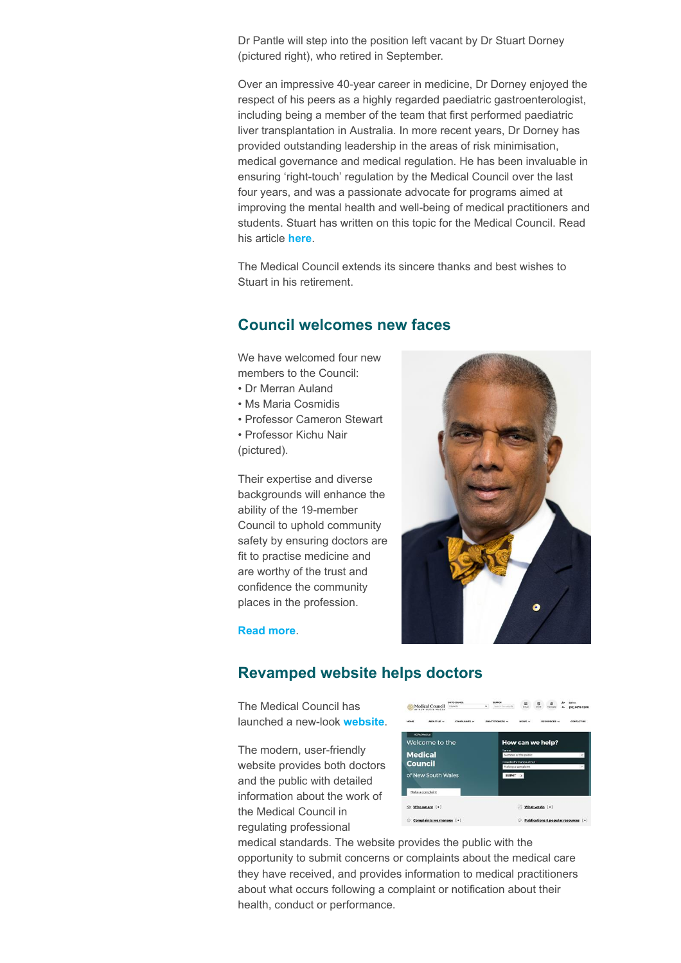Dr Pantle will step into the position left vacant by Dr Stuart Dorney (pictured right), who retired in September.

Over an impressive 40-year career in medicine, Dr Dorney enjoyed the respect of his peers as a highly regarded paediatric gastroenterologist, including being a member of the team that first performed paediatric liver transplantation in Australia. In more recent years, Dr Dorney has provided outstanding leadership in the areas of risk minimisation, medical governance and medical regulation. He has been invaluable in ensuring 'right-touch' regulation by the Medical Council over the last four years, and was a passionate advocate for programs aimed at improving the mental health and well-being of medical practitioners and students. Stuart has written on this topic for the Medical Council. Read his article [here](http://medicalcouncil.createsend1.com/t/j-l-odjhrtl-l-e/).

The Medical Council extends its sincere thanks and best wishes to Stuart in his retirement.

### <span id="page-6-0"></span>Council welcomes new faces

We have welcomed four new members to the Council:

- Dr Merran Auland
- Ms Maria Cosmidis
- Professor Cameron Stewart
- Professor Kichu Nair (pictured).

Their expertise and diverse backgrounds will enhance the ability of the 19-member Council to uphold community safety by ensuring doctors are fit to practise medicine and are worthy of the trust and confidence the community places in the profession.



#### [Read more](http://medicalcouncil.createsend1.com/t/j-l-odjhrtl-l-s/).

### <span id="page-6-1"></span>Revamped website helps doctors

The Medical Council has launched a new-look [website](http://medicalcouncil.createsend1.com/t/j-l-odjhrtl-l-g/).

The modern, user-friendly website provides both doctors and the public with detailed information about the work of the Medical Council in regulating professional



medical standards. The website provides the public with the opportunity to submit concerns or complaints about the medical care they have received, and provides information to medical practitioners about what occurs following a complaint or notification about their health, conduct or performance.